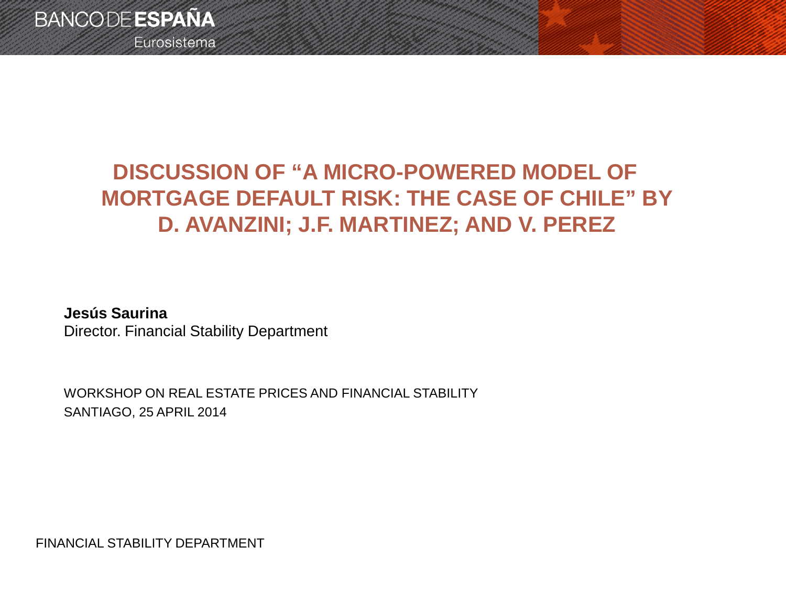Eurosistema

### **DISCUSSION OF "A MICRO-POWERED MODEL OF MORTGAGE DEFAULT RISK: THE CASE OF CHILE" BY D. AVANZINI; J.F. MARTINEZ; AND V. PEREZ**

**Jesús Saurina** Director. Financial Stability Department

WORKSHOP ON REAL ESTATE PRICES AND FINANCIAL STABILITY SANTIAGO, 25 APRIL 2014

FINANCIAL STABILITY DEPARTMENT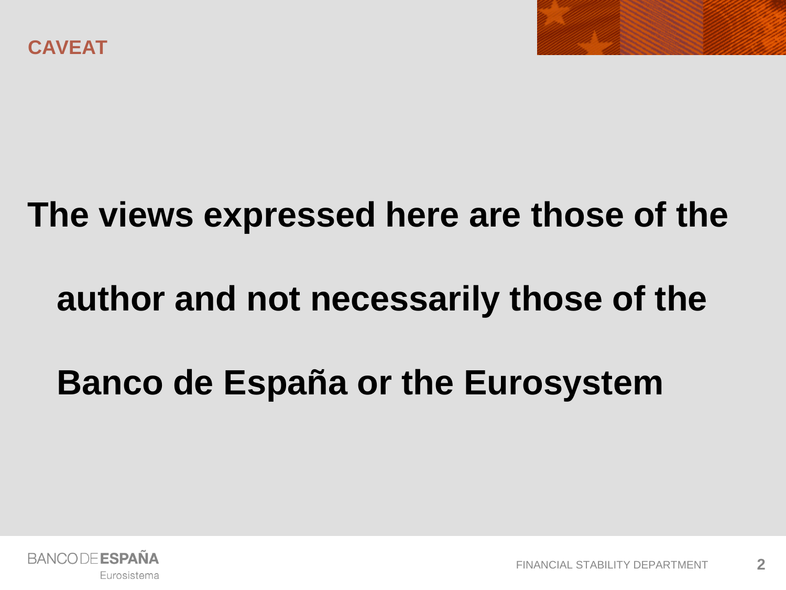

# **The views expressed here are those of the**

# **author and not necessarily those of the**

# **Banco de España or the Eurosystem**

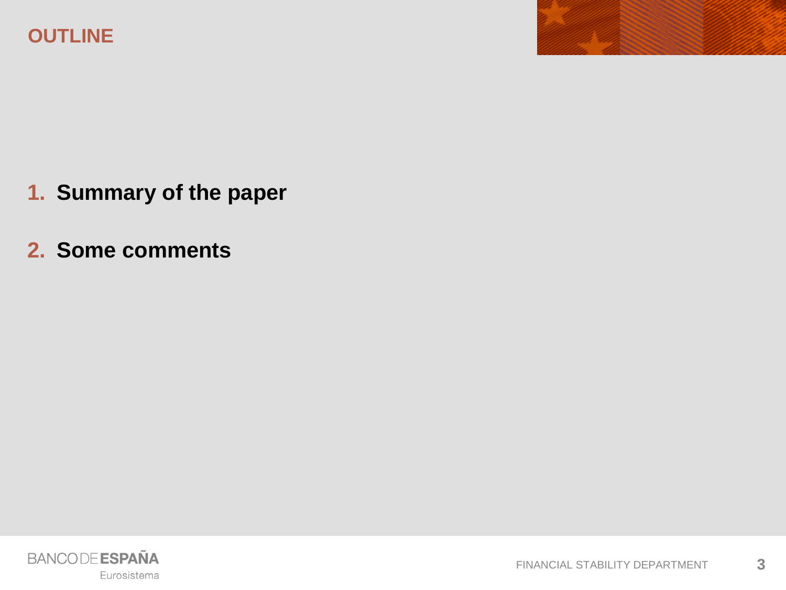

- **1. Summary of the paper**
- **2. Some comments**

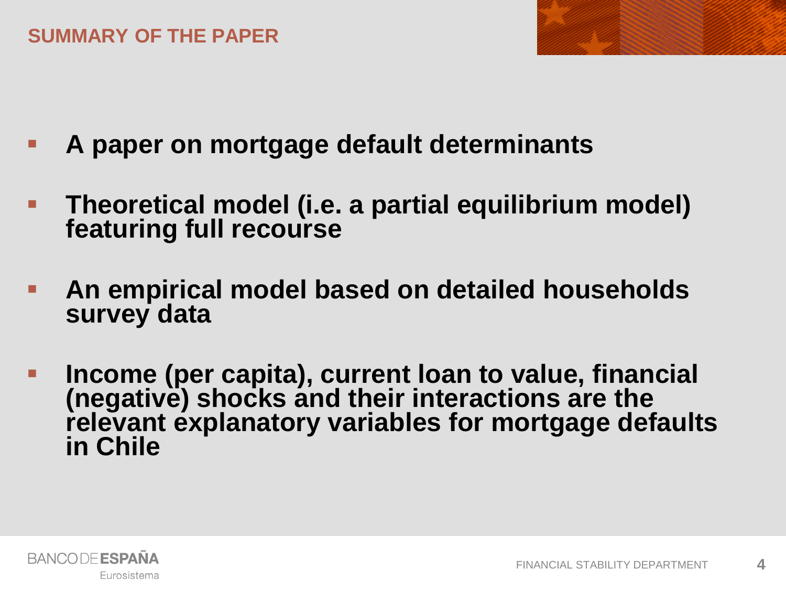

- **A paper on mortgage default determinants**
- **Theoretical model (i.e. a partial equilibrium model) featuring full recourse**
- **An empirical model based on detailed households survey data**
- **Income (per capita), current loan to value, financial (negative) shocks and their interactions are the relevant explanatory variables for mortgage defaults in Chile**



**4**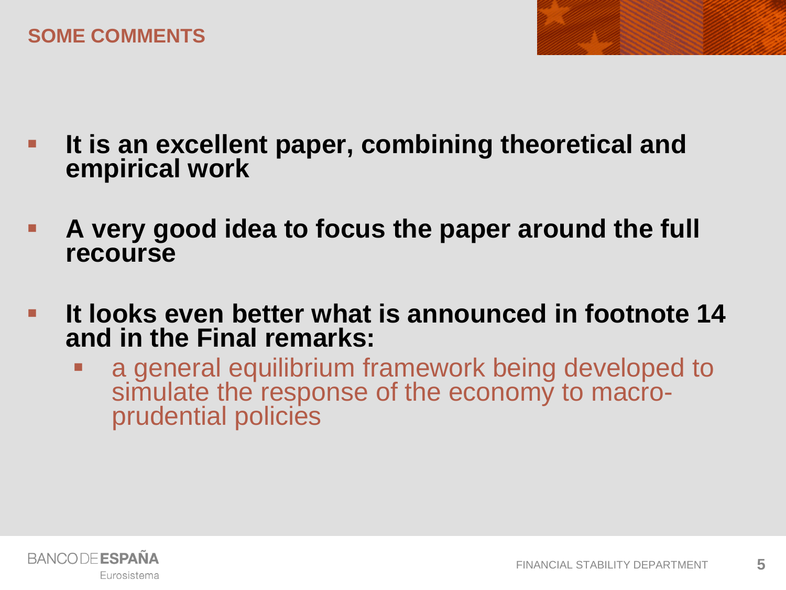- **It is an excellent paper, combining theoretical and empirical work**
- **A very good idea to focus the paper around the full recourse**
- **It looks even better what is announced in footnote 14 and in the Final remarks:**
	- **a** general equilibrium framework being developed to simulate the response of the economy to macro-<br>prudential policies

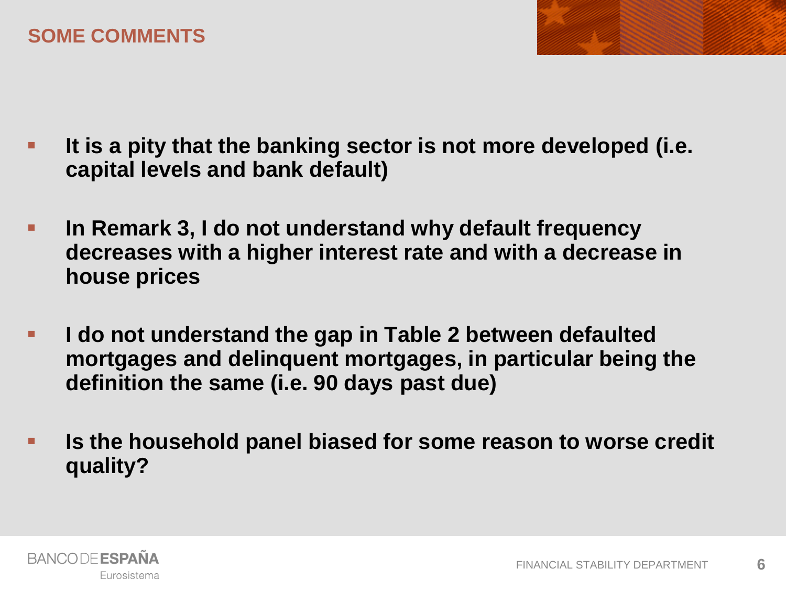

- **In Remark 3, I do not understand why default frequency decreases with a higher interest rate and with a decrease in house prices**
- **I do not understand the gap in Table 2 between defaulted mortgages and delinquent mortgages, in particular being the definition the same (i.e. 90 days past due)**
- **Is the household panel biased for some reason to worse credit quality?**

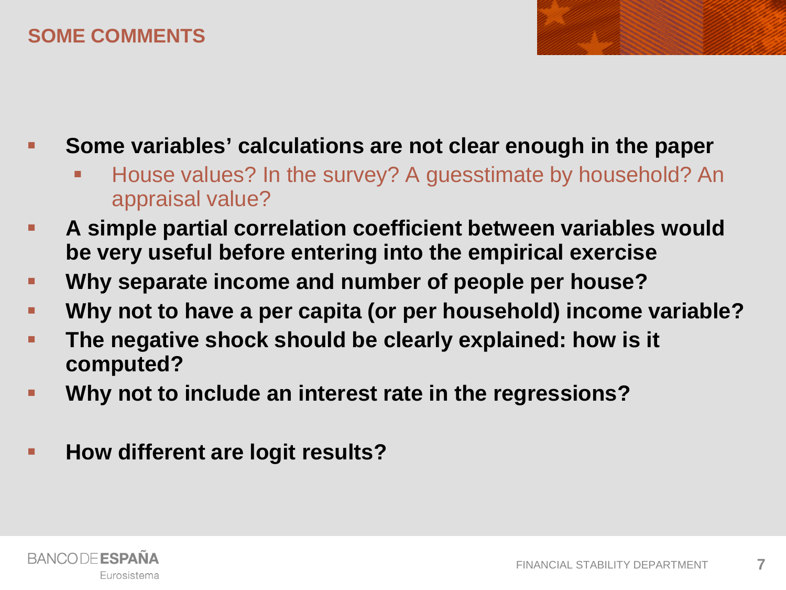### **SOME COMMENTS**

**Some variables' calculations are not clear enough in the paper** 

- House values? In the survey? A guesstimate by household? An appraisal value?
- **A simple partial correlation coefficient between variables would be very useful before entering into the empirical exercise**
- **Why separate income and number of people per house?**
- **Why not to have a per capita (or per household) income variable?**
- **The negative shock should be clearly explained: how is it computed?**
- **Why not to include an interest rate in the regressions?**
- **How different are logit results?**

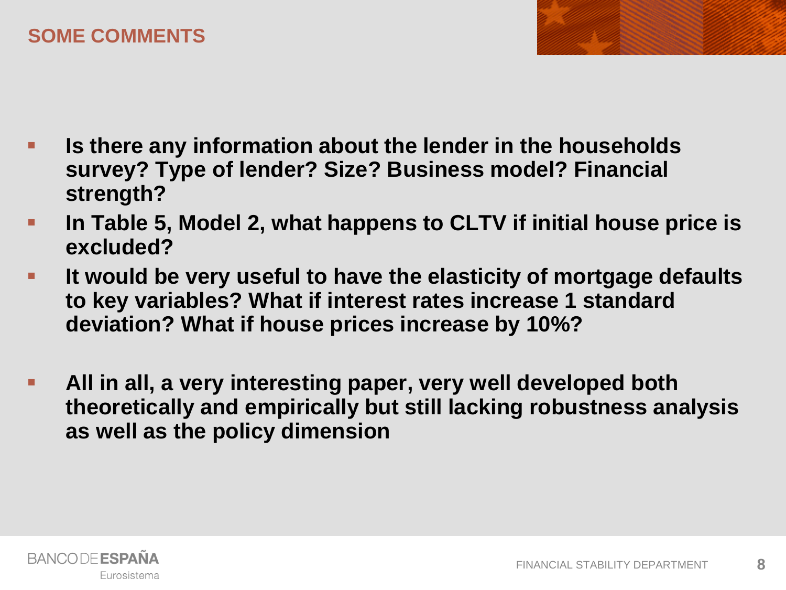#### **SOME COMMENTS**

- **Is there any information about the lender in the households survey? Type of lender? Size? Business model? Financial strength?**
- **In Table 5, Model 2, what happens to CLTV if initial house price is excluded?**
- **It would be very useful to have the elasticity of mortgage defaults to key variables? What if interest rates increase 1 standard deviation? What if house prices increase by 10%?**
- **All in all, a very interesting paper, very well developed both theoretically and empirically but still lacking robustness analysis as well as the policy dimension**